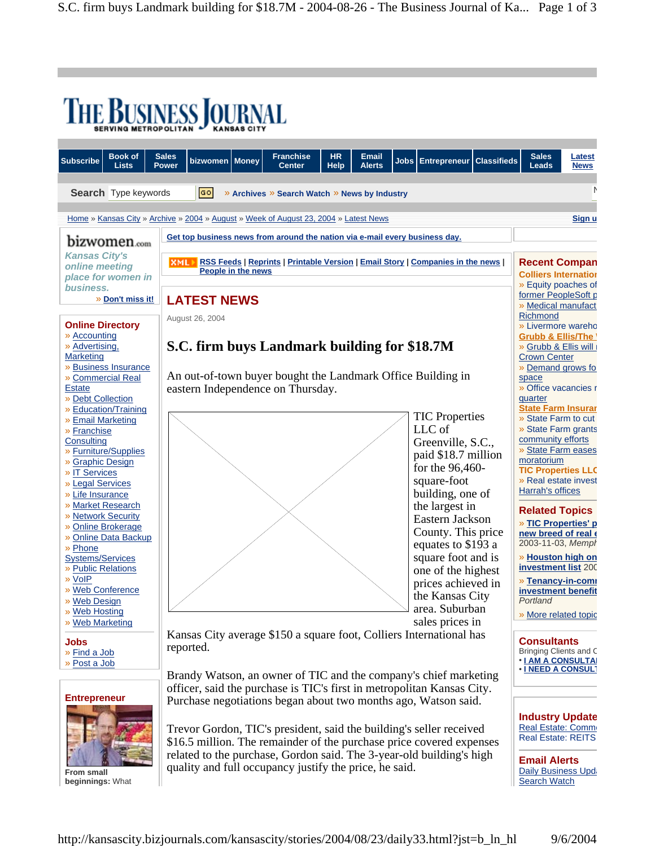| <b>THE BUSINESS JOURNAL</b>                                                                                                                                                                                                                                                                                                                     |                                                                                                                                                                                                                                                                                                                                                                                                                                                                                                                                                                                                      |                                                                                                                                             |  |                                              |  |  |  |                                                                                                                                                                                      |                                                                                                                                                                                                                                                                                                                                                                                   |                                                                                                                                                                                                                             |                              |
|-------------------------------------------------------------------------------------------------------------------------------------------------------------------------------------------------------------------------------------------------------------------------------------------------------------------------------------------------|------------------------------------------------------------------------------------------------------------------------------------------------------------------------------------------------------------------------------------------------------------------------------------------------------------------------------------------------------------------------------------------------------------------------------------------------------------------------------------------------------------------------------------------------------------------------------------------------------|---------------------------------------------------------------------------------------------------------------------------------------------|--|----------------------------------------------|--|--|--|--------------------------------------------------------------------------------------------------------------------------------------------------------------------------------------|-----------------------------------------------------------------------------------------------------------------------------------------------------------------------------------------------------------------------------------------------------------------------------------------------------------------------------------------------------------------------------------|-----------------------------------------------------------------------------------------------------------------------------------------------------------------------------------------------------------------------------|------------------------------|
| <b>Book of</b><br><b>Subscribe</b><br><b>Lists</b>                                                                                                                                                                                                                                                                                              | <b>Sales</b><br><b>Power</b>                                                                                                                                                                                                                                                                                                                                                                                                                                                                                                                                                                         | <b>Franchise</b><br><b>HR</b><br><b>Email</b><br>bizwomen   Money<br>Jobs   Entrepreneur  <br><b>Center</b><br><b>Alerts</b><br><b>Help</b> |  |                                              |  |  |  |                                                                                                                                                                                      | <b>Classifieds</b>                                                                                                                                                                                                                                                                                                                                                                | <b>Sales</b><br>Leads                                                                                                                                                                                                       | <b>Latest</b><br><b>News</b> |
| Search Type keywords                                                                                                                                                                                                                                                                                                                            |                                                                                                                                                                                                                                                                                                                                                                                                                                                                                                                                                                                                      | GO                                                                                                                                          |  | » Archives » Search Watch » News by Industry |  |  |  |                                                                                                                                                                                      |                                                                                                                                                                                                                                                                                                                                                                                   |                                                                                                                                                                                                                             | N                            |
| Home » Kansas City » Archive » 2004 » August » Week of August 23, 2004 » Latest News                                                                                                                                                                                                                                                            |                                                                                                                                                                                                                                                                                                                                                                                                                                                                                                                                                                                                      |                                                                                                                                             |  |                                              |  |  |  |                                                                                                                                                                                      |                                                                                                                                                                                                                                                                                                                                                                                   |                                                                                                                                                                                                                             | Sign u                       |
| bizwomen.com                                                                                                                                                                                                                                                                                                                                    | Get top business news from around the nation via e-mail every business day.                                                                                                                                                                                                                                                                                                                                                                                                                                                                                                                          |                                                                                                                                             |  |                                              |  |  |  |                                                                                                                                                                                      |                                                                                                                                                                                                                                                                                                                                                                                   |                                                                                                                                                                                                                             |                              |
| <b>Kansas City's</b><br>online meeting<br>place for women in                                                                                                                                                                                                                                                                                    | <b>RSS Feeds   Reprints   Printable Version   Email Story   Companies in the news  </b><br><b>XML)</b><br><b>People in the news</b>                                                                                                                                                                                                                                                                                                                                                                                                                                                                  |                                                                                                                                             |  |                                              |  |  |  |                                                                                                                                                                                      |                                                                                                                                                                                                                                                                                                                                                                                   | <b>Recent Compan</b><br><b>Colliers Internation</b><br>» Equity poaches of                                                                                                                                                  |                              |
| business.<br>» Don't miss it!                                                                                                                                                                                                                                                                                                                   | <b>LATEST NEWS</b><br>August 26, 2004                                                                                                                                                                                                                                                                                                                                                                                                                                                                                                                                                                |                                                                                                                                             |  |                                              |  |  |  |                                                                                                                                                                                      |                                                                                                                                                                                                                                                                                                                                                                                   | former PeopleSoft p<br>» Medical manufact<br>Richmond                                                                                                                                                                       |                              |
| <b>Online Directory</b><br>» Accounting<br>» Advertising,<br><b>Marketing</b><br>» Business Insurance<br>» Commercial Real<br><b>Estate</b><br>» Debt Collection<br>» Education/Training<br>» Email Marketing<br>» Franchise<br>Consulting<br>» Furniture/Supplies<br>» Graphic Design<br>» IT Services<br>» Legal Services<br>» Life Insurance | S.C. firm buys Landmark building for \$18.7M<br>An out-of-town buyer bought the Landmark Office Building in<br>eastern Independence on Thursday.<br><b>TIC Properties</b><br>LLC of<br>Greenville, S.C.,<br>paid \$18.7 million<br>for the 96,460-<br>square-foot<br>building, one of                                                                                                                                                                                                                                                                                                                |                                                                                                                                             |  |                                              |  |  |  |                                                                                                                                                                                      | » Livermore wareho<br><b>Grubb &amp; Ellis/The '</b><br>» Grubb & Ellis will<br><b>Crown Center</b><br>» Demand grows fo<br>space<br>» Office vacancies r<br>quarter<br><b>State Farm Insurar</b><br>» State Farm to cut<br>» State Farm grants<br>community efforts<br>» State Farm eases<br>moratorium<br><b>TIC Properties LLC</b><br>» Real estate invest<br>Harrah's offices |                                                                                                                                                                                                                             |                              |
| » Market Research<br>» Network Security<br>» Online Brokerage<br>» Online Data Backup<br>» Phone<br><b>Systems/Services</b><br>» Public Relations<br>» VoIP<br>» Web Conference<br>» Web Design<br>» Web Hosting                                                                                                                                |                                                                                                                                                                                                                                                                                                                                                                                                                                                                                                                                                                                                      |                                                                                                                                             |  |                                              |  |  |  | the largest in<br>Eastern Jackson<br>County. This price<br>equates to \$193 a<br>square foot and is<br>one of the highest<br>prices achieved in<br>the Kansas City<br>area. Suburban |                                                                                                                                                                                                                                                                                                                                                                                   | <b>Related Topics</b><br>» TIC Properties' p<br>new breed of real of<br>2003-11-03, Mempl<br>» Houston high on<br><b>investment list 200</b><br>» Tenancy-in-comi<br>investment benefit<br>Portland<br>» More related topic |                              |
| » Web Marketing<br><b>Jobs</b><br>» Find a Job<br>» Post a Job                                                                                                                                                                                                                                                                                  | sales prices in<br>Kansas City average \$150 a square foot, Colliers International has<br>reported.<br>Brandy Watson, an owner of TIC and the company's chief marketing<br>officer, said the purchase is TIC's first in metropolitan Kansas City.<br>Purchase negotiations began about two months ago, Watson said.<br>Trevor Gordon, TIC's president, said the building's seller received<br>\$16.5 million. The remainder of the purchase price covered expenses<br>related to the purchase, Gordon said. The 3-year-old building's high<br>quality and full occupancy justify the price, he said. |                                                                                                                                             |  |                                              |  |  |  |                                                                                                                                                                                      |                                                                                                                                                                                                                                                                                                                                                                                   | <b>Consultants</b><br>Bringing Clients and C<br><b>• LAM A CONSULTA</b><br><b>• I NEED A CONSULT</b>                                                                                                                        |                              |
| <b>Entrepreneur</b><br><b>From small</b><br>beginnings: What                                                                                                                                                                                                                                                                                    |                                                                                                                                                                                                                                                                                                                                                                                                                                                                                                                                                                                                      |                                                                                                                                             |  |                                              |  |  |  |                                                                                                                                                                                      |                                                                                                                                                                                                                                                                                                                                                                                   | <b>Industry Update</b><br>Real Estate: Comm<br><b>Real Estate: REITS</b><br><b>Email Alerts</b><br><b>Daily Business Updi</b><br><b>Search Watch</b>                                                                        |                              |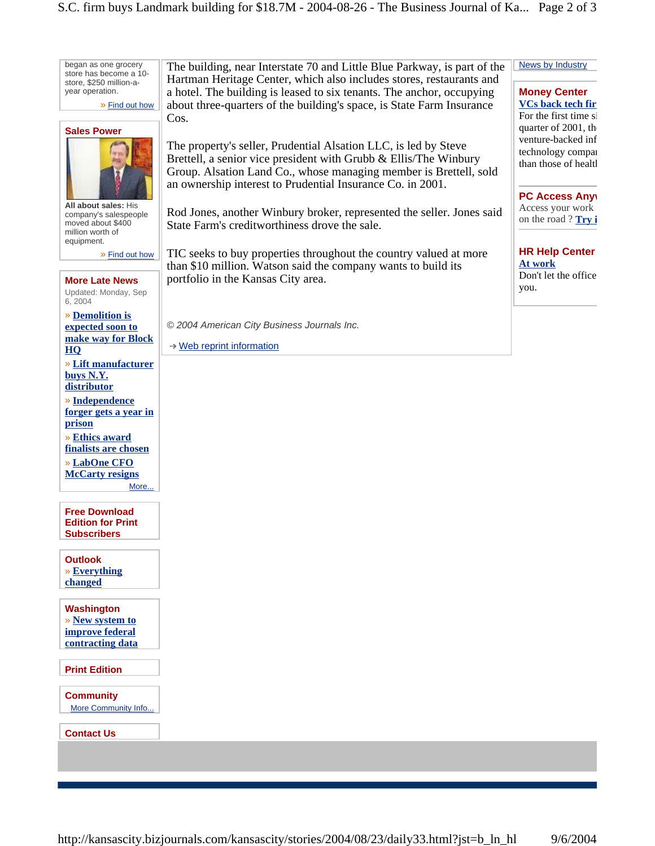